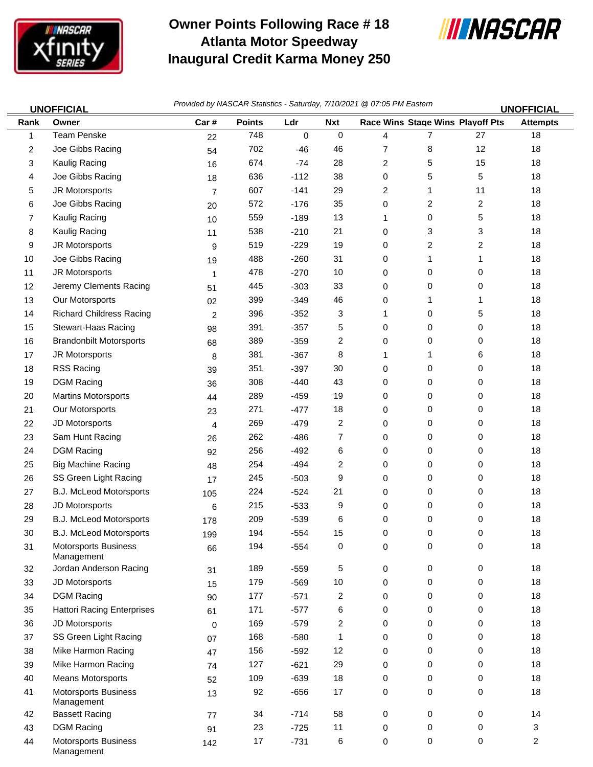

Management

## **Owner Points Following Race # 18 Atlanta Motor Speedway Inaugural Credit Karma Money 250**